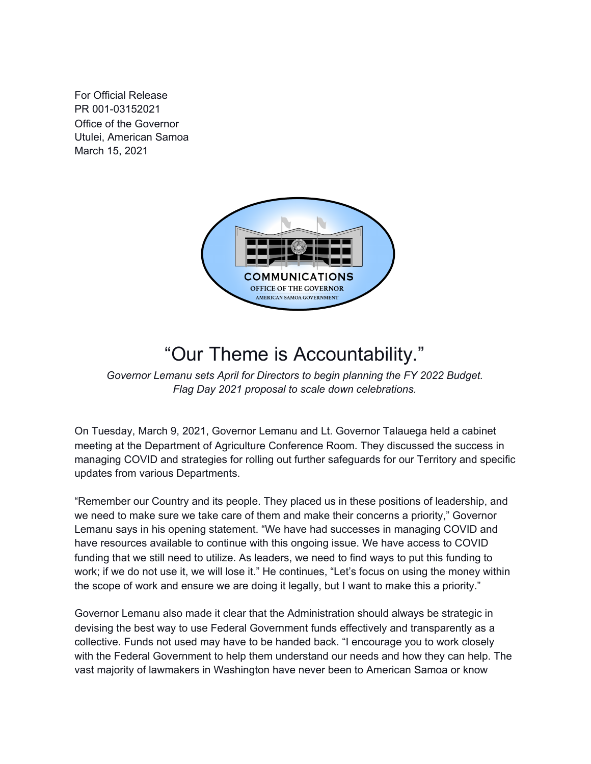For Official Release PR 001-03152021 Office of the Governor Utulei, American Samoa March 15, 2021



# "Our Theme is Accountability."

*Governor Lemanu sets April for Directors to begin planning the FY 2022 Budget. Flag Day 2021 proposal to scale down celebrations.*

On Tuesday, March 9, 2021, Governor Lemanu and Lt. Governor Talauega held a cabinet meeting at the Department of Agriculture Conference Room. They discussed the success in managing COVID and strategies for rolling out further safeguards for our Territory and specific updates from various Departments.

"Remember our Country and its people. They placed us in these positions of leadership, and we need to make sure we take care of them and make their concerns a priority," Governor Lemanu says in his opening statement. "We have had successes in managing COVID and have resources available to continue with this ongoing issue. We have access to COVID funding that we still need to utilize. As leaders, we need to find ways to put this funding to work; if we do not use it, we will lose it." He continues, "Let's focus on using the money within the scope of work and ensure we are doing it legally, but I want to make this a priority."

Governor Lemanu also made it clear that the Administration should always be strategic in devising the best way to use Federal Government funds effectively and transparently as a collective. Funds not used may have to be handed back. "I encourage you to work closely with the Federal Government to help them understand our needs and how they can help. The vast majority of lawmakers in Washington have never been to American Samoa or know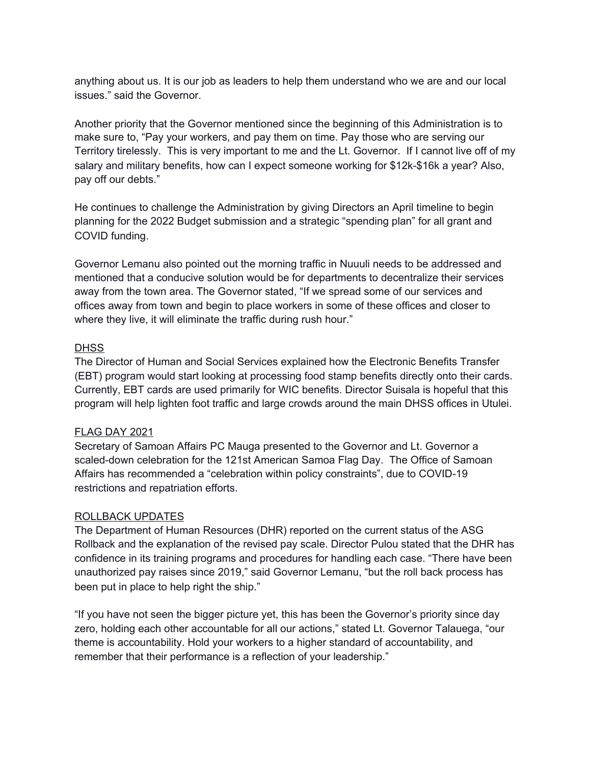anything about us. It is our job as leaders to help them understand who we are and our local issues." said the Governor.

Another priority that the Governor mentioned since the beginning of this Administration is to make sure to, "Pay your workers, and pay them on time. Pay those who are serving our Territory tirelessly. This is very important to me and the Lt. Governor. If I cannot live off of my salary and military benefits, how can I expect someone working for \$12k-\$16k a year? Also, pay off our debts."

He continues to challenge the Administration by giving Directors an April timeline to begin planning for the 2022 Budget submission and a strategic "spending plan" for all grant and COVID funding.

Governor Lemanu also pointed out the morning traffic in Nuuuli needs to be addressed and mentioned that a conducive solution would be for departments to decentralize their services away from the town area. The Governor stated, "If we spread some of our services and offices away from town and begin to place workers in some of these offices and closer to where they live, it will eliminate the traffic during rush hour."

## **DHSS**

The Director of Human and Social Services explained how the Electronic Benefits Transfer (EBT) program would start looking at processing food stamp benefits directly onto their cards. Currently, EBT cards are used primarily for WIC benefits. Director Suisala is hopeful that this program will help lighten foot traffic and large crowds around the main DHSS offices in Utulei.

#### FLAG DAY 2021

Secretary of Samoan Affairs PC Mauga presented to the Governor and Lt. Governor a scaled-down celebration for the 121st American Samoa Flag Day. The Office of Samoan Affairs has recommended a "celebration within policy constraints", due to COVID-19 restrictions and repatriation efforts.

#### ROLLBACK UPDATES

The Department of Human Resources (DHR) reported on the current status of the ASG Rollback and the explanation of the revised pay scale. Director Pulou stated that the DHR has confidence in its training programs and procedures for handling each case. "There have been unauthorized pay raises since 2019," said Governor Lemanu, "but the roll back process has been put in place to help right the ship."

"If you have not seen the bigger picture yet, this has been the Governor's priority since day zero, holding each other accountable for all our actions," stated Lt. Governor Talauega, "our theme is accountability. Hold your workers to a higher standard of accountability, and remember that their performance is a reflection of your leadership."